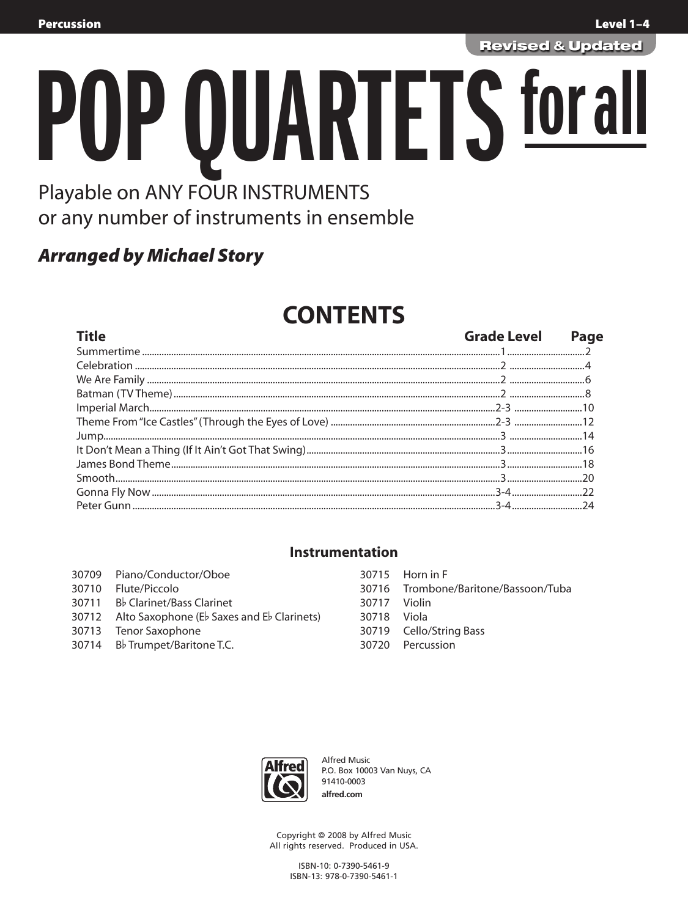**Revised & Updated** 

# PUP QUARTETS for al Playable on ANY FOUR INSTRUMENTS or any number of instruments in ensemble

## **Arranged by Michael Story**

# **CONTENTS**

| <b>Title</b> | <b>Grade Level</b> | Page |
|--------------|--------------------|------|
|              |                    |      |
|              |                    |      |
|              |                    |      |
|              |                    |      |
|              |                    |      |
|              |                    |      |
|              |                    |      |
|              |                    |      |
|              |                    |      |
|              |                    |      |
|              |                    |      |
|              |                    |      |

#### **Instrumentation**

| 30709 Piano/Conductor/Oboe                       |              | 30715 Horn in F                      |
|--------------------------------------------------|--------------|--------------------------------------|
| 30710 Flute/Piccolo                              |              | 30716 Trombone/Baritone/Bassoon/Tuba |
| 30711 Bb Clarinet/Bass Clarinet                  | 30717 Violin |                                      |
| 30712 Alto Saxophone (Eb Saxes and Eb Clarinets) | 30718 Viola  |                                      |
| 30713 Tenor Saxophone                            |              | 30719 Cello/String Bass              |
| 30714 B♭ Trumpet/Baritone T.C.                   |              | 30720 Percussion                     |
|                                                  |              |                                      |



Alfred Music P.O. Box 10003 Van Nuys, CA 91410-0003 alfred.com

Copyright © 2008 by Alfred Music All rights reserved. Produced in USA.

> ISBN-10: 0-7390-5461-9 ISBN-13: 978-0-7390-5461-1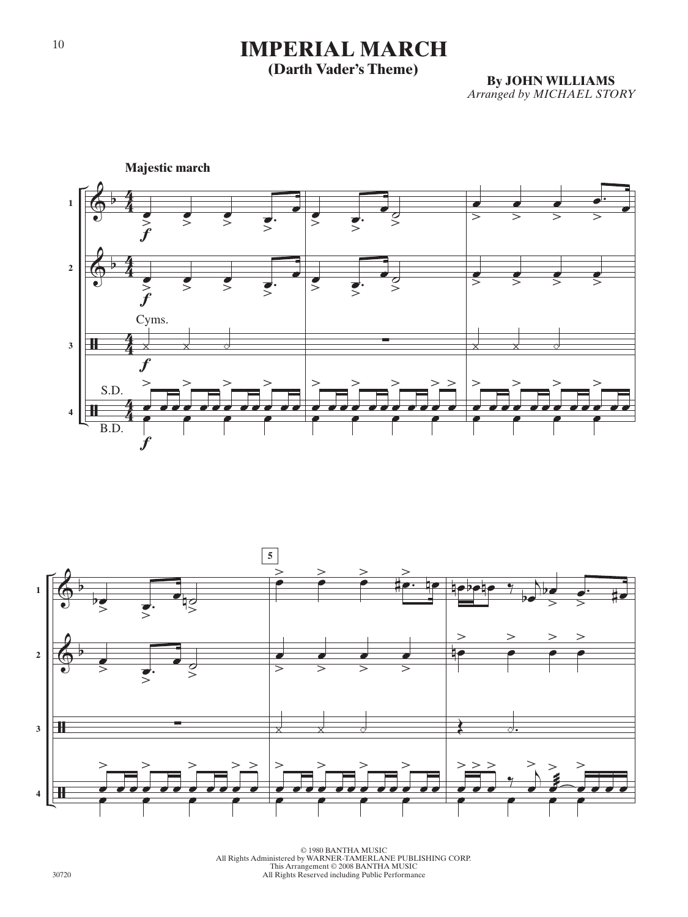## **IMPERIAL MARCH**

### **(Darth Vader's Theme)**

**By JOHN WILLIAMS**  *Arranged by MICHAEL STORY*





© 1980 BANTHA MUSIC<br>All Rights Administered by WARNER-TAMERLANE PUBLISHING CORP.<br>This Arrangement © 2008 BANTHA MUSIC<br>All Rights Reserved including Public Performance